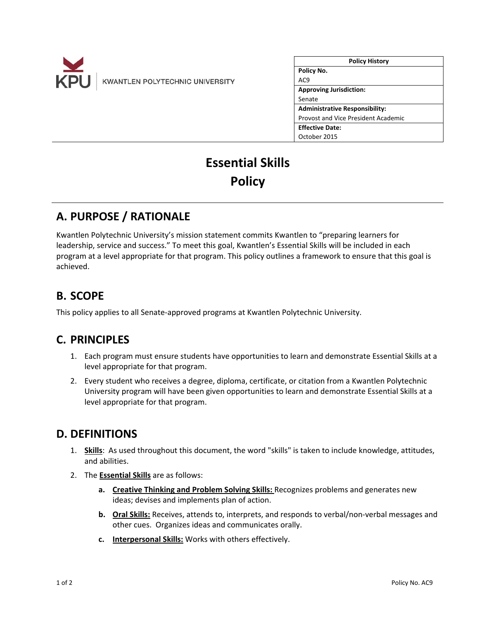

| <b>Policy History</b>                 |
|---------------------------------------|
| Policy No.                            |
| AC <sub>9</sub>                       |
| <b>Approving Jurisdiction:</b>        |
| Senate                                |
| <b>Administrative Responsibility:</b> |
| Provost and Vice President Academic   |
| <b>Effective Date:</b>                |
| October 2015                          |

# **Essential Skills Policy**

## **A. PURPOSE / RATIONALE**

Kwantlen Polytechnic University's mission statement commits Kwantlen to "preparing learners for leadership, service and success." To meet this goal, Kwantlen's Essential Skills will be included in each program at a level appropriate for that program. This policy outlines a framework to ensure that this goal is achieved.

## **B. SCOPE**

This policy applies to all Senate‐approved programs at Kwantlen Polytechnic University.

## **C. PRINCIPLES**

- 1. Each program must ensure students have opportunities to learn and demonstrate Essential Skills at a level appropriate for that program.
- 2. Every student who receives a degree, diploma, certificate, or citation from a Kwantlen Polytechnic University program will have been given opportunities to learn and demonstrate Essential Skills at a level appropriate for that program.

### **D. DEFINITIONS**

- 1. **Skills**: As used throughout this document, the word "skills" is taken to include knowledge, attitudes, and abilities.
- 2. The **Essential Skills** are as follows:
	- **a. Creative Thinking and Problem Solving Skills:** Recognizes problems and generates new ideas; devises and implements plan of action.
	- **b. Oral Skills:** Receives, attends to, interprets, and responds to verbal/non‐verbal messages and other cues. Organizes ideas and communicates orally.
	- **c. Interpersonal Skills:** Works with others effectively.